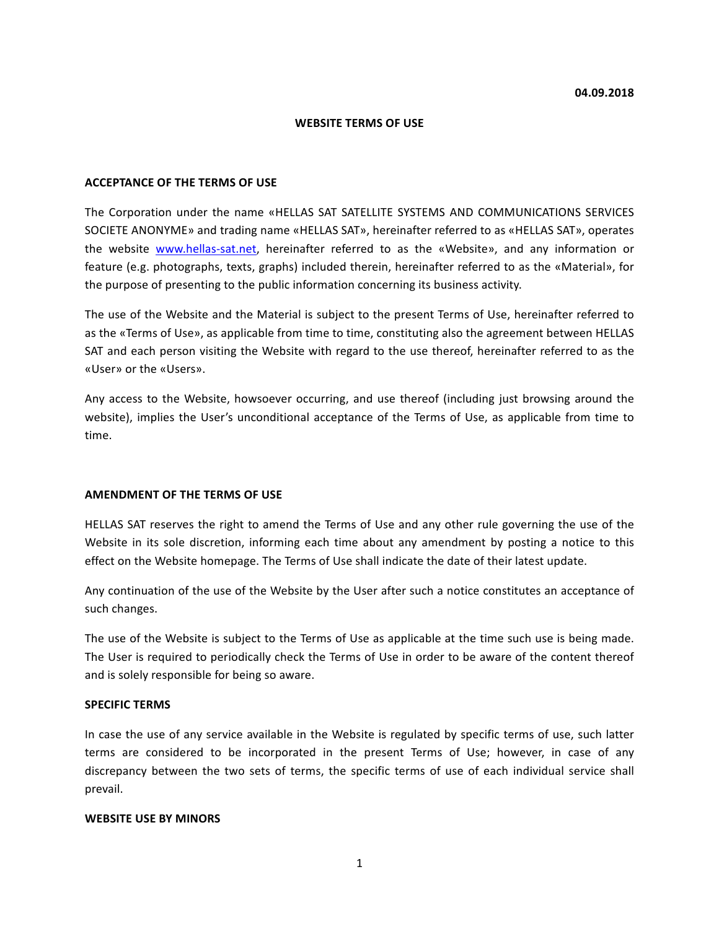#### **WEBSITE TERMS OF USE**

#### **ACCEPTANCE OF THE TERMS OF USE**

The Corporation under the name «HELLAS SAT SATELLITE SYSTEMS AND COMMUNICATIONS SERVICES SOCIETE ANONYME» and trading name «HELLAS SAT», hereinafter referred to as «HELLAS SAT», operates the website www.hellas-sat.net, hereinafter referred to as the «Website», and any information or feature (e.g. photographs, texts, graphs) included therein, hereinafter referred to as the «Material», for the purpose of presenting to the public information concerning its business activity.

The use of the Website and the Material is subject to the present Terms of Use, hereinafter referred to as the «Terms of Use», as applicable from time to time, constituting also the agreement between HELLAS SAT and each person visiting the Website with regard to the use thereof, hereinafter referred to as the «User» or the «Users».

Any access to the Website, howsoever occurring, and use thereof (including just browsing around the website), implies the User's unconditional acceptance of the Terms of Use, as applicable from time to time.

#### **AMENDMENT OF THE TERMS OF USE**

HELLAS SAT reserves the right to amend the Terms of Use and any other rule governing the use of the Website in its sole discretion, informing each time about any amendment by posting a notice to this effect on the Website homepage. The Terms of Use shall indicate the date of their latest update.

Any continuation of the use of the Website by the User after such a notice constitutes an acceptance of such changes.

The use of the Website is subject to the Terms of Use as applicable at the time such use is being made. The User is required to periodically check the Terms of Use in order to be aware of the content thereof and is solely responsible for being so aware.

#### **SPECIFIC TERMS**

In case the use of any service available in the Website is regulated by specific terms of use, such latter terms are considered to be incorporated in the present Terms of Use; however, in case of any discrepancy between the two sets of terms, the specific terms of use of each individual service shall prevail.

#### **WEBSITE USE BY MINORS**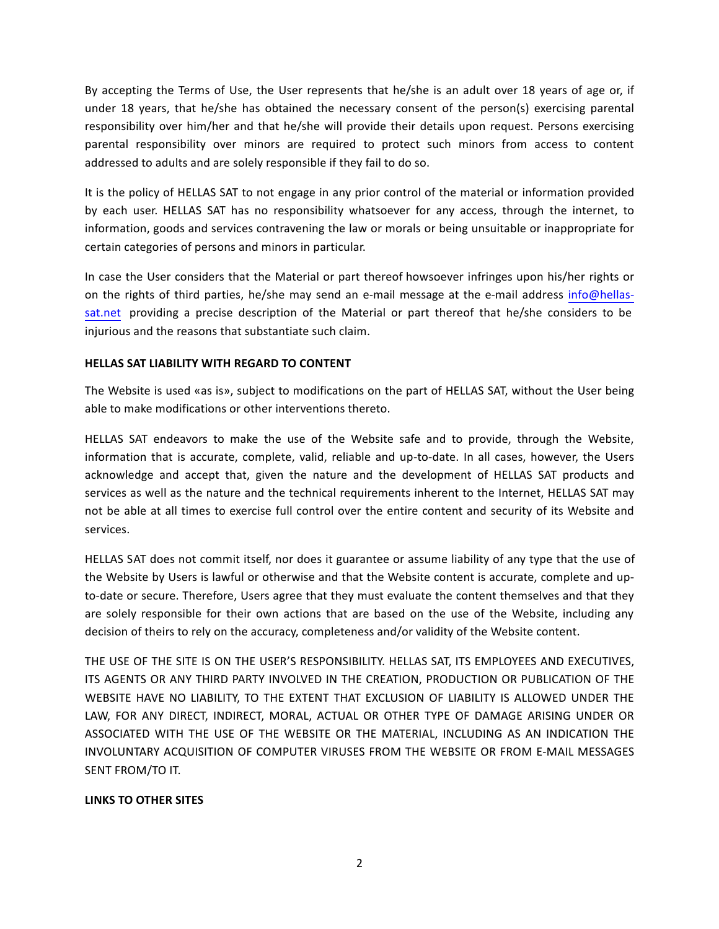By accepting the Terms of Use, the User represents that he/she is an adult over 18 years of age or, if under 18 years, that he/she has obtained the necessary consent of the person(s) exercising parental responsibility over him/her and that he/she will provide their details upon request. Persons exercising parental responsibility over minors are required to protect such minors from access to content addressed to adults and are solely responsible if they fail to do so.

It is the policy of HELLAS SAT to not engage in any prior control of the material or information provided by each user. HELLAS SAT has no responsibility whatsoever for any access, through the internet, to information, goods and services contravening the law or morals or being unsuitable or inappropriate for certain categories of persons and minors in particular.

In case the User considers that the Material or part thereof howsoever infringes upon his/her rights or on the rights of third parties, he/she may send an e-mail message at the e-mail address info@hellassat.net providing a precise description of the Material or part thereof that he/she considers to be injurious and the reasons that substantiate such claim.

## **HELLAS SAT LIABILITY WITH REGARD TO CONTENT**

The Website is used «as is», subject to modifications on the part of HELLAS SAT, without the User being able to make modifications or other interventions thereto.

HELLAS SAT endeavors to make the use of the Website safe and to provide, through the Website, information that is accurate, complete, valid, reliable and up-to-date. In all cases, however, the Users acknowledge and accept that, given the nature and the development of HELLAS SAT products and services as well as the nature and the technical requirements inherent to the Internet, HELLAS SAT may not be able at all times to exercise full control over the entire content and security of its Website and services. 

HELLAS SAT does not commit itself, nor does it guarantee or assume liability of any type that the use of the Website by Users is lawful or otherwise and that the Website content is accurate, complete and upto-date or secure. Therefore, Users agree that they must evaluate the content themselves and that they are solely responsible for their own actions that are based on the use of the Website, including any decision of theirs to rely on the accuracy, completeness and/or validity of the Website content.

THE USE OF THE SITE IS ON THE USER'S RESPONSIBILITY. HELLAS SAT, ITS EMPLOYEES AND EXECUTIVES, ITS AGENTS OR ANY THIRD PARTY INVOLVED IN THE CREATION, PRODUCTION OR PUBLICATION OF THE WEBSITE HAVE NO LIABILITY, TO THE EXTENT THAT EXCLUSION OF LIABILITY IS ALLOWED UNDER THE LAW, FOR ANY DIRECT, INDIRECT, MORAL, ACTUAL OR OTHER TYPE OF DAMAGE ARISING UNDER OR ASSOCIATED WITH THE USE OF THE WEBSITE OR THE MATERIAL, INCLUDING AS AN INDICATION THE INVOLUNTARY ACQUISITION OF COMPUTER VIRUSES FROM THE WEBSITE OR FROM E-MAIL MESSAGES SENT FROM/TO IT.

## **LINKS TO OTHER SITES**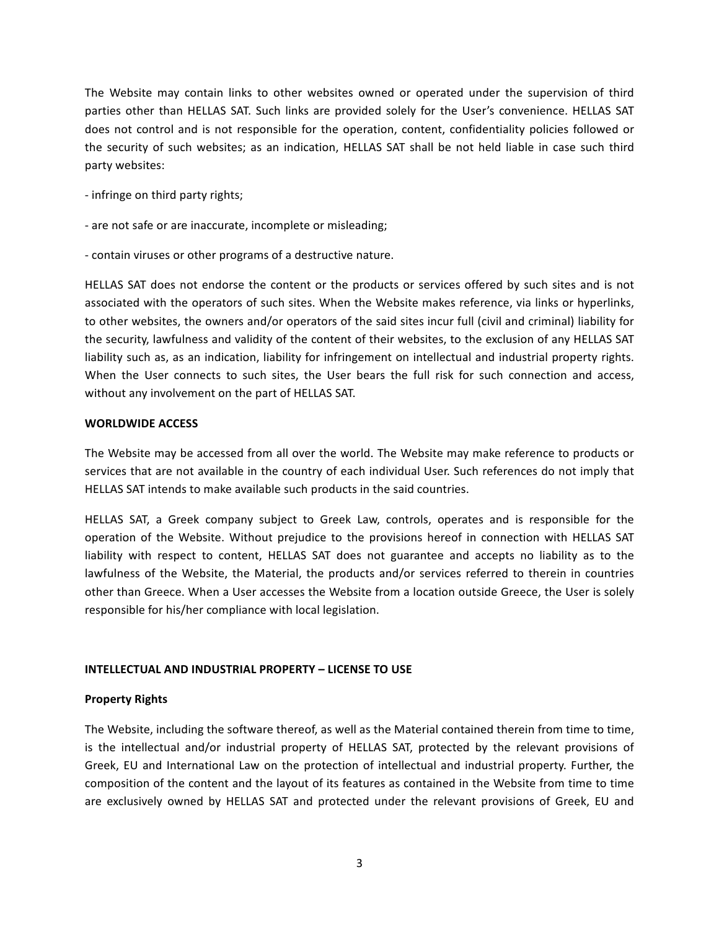The Website may contain links to other websites owned or operated under the supervision of third parties other than HELLAS SAT. Such links are provided solely for the User's convenience. HELLAS SAT does not control and is not responsible for the operation, content, confidentiality policies followed or the security of such websites; as an indication, HELLAS SAT shall be not held liable in case such third party websites:

- infringe on third party rights;
- are not safe or are inaccurate, incomplete or misleading;
- contain viruses or other programs of a destructive nature.

HELLAS SAT does not endorse the content or the products or services offered by such sites and is not associated with the operators of such sites. When the Website makes reference, via links or hyperlinks, to other websites, the owners and/or operators of the said sites incur full (civil and criminal) liability for the security, lawfulness and validity of the content of their websites, to the exclusion of any HELLAS SAT liability such as, as an indication, liability for infringement on intellectual and industrial property rights. When the User connects to such sites, the User bears the full risk for such connection and access, without any involvement on the part of HELLAS SAT.

## **WORLDWIDE ACCESS**

The Website may be accessed from all over the world. The Website may make reference to products or services that are not available in the country of each individual User. Such references do not imply that HELLAS SAT intends to make available such products in the said countries.

HELLAS SAT, a Greek company subject to Greek Law, controls, operates and is responsible for the operation of the Website. Without prejudice to the provisions hereof in connection with HELLAS SAT liability with respect to content, HELLAS SAT does not guarantee and accepts no liability as to the lawfulness of the Website, the Material, the products and/or services referred to therein in countries other than Greece. When a User accesses the Website from a location outside Greece, the User is solely responsible for his/her compliance with local legislation.

## **INTELLECTUAL AND INDUSTRIAL PROPERTY - LICENSE TO USE**

## **Property Rights**

The Website, including the software thereof, as well as the Material contained therein from time to time, is the intellectual and/or industrial property of HELLAS SAT, protected by the relevant provisions of Greek, EU and International Law on the protection of intellectual and industrial property. Further, the composition of the content and the layout of its features as contained in the Website from time to time are exclusively owned by HELLAS SAT and protected under the relevant provisions of Greek, EU and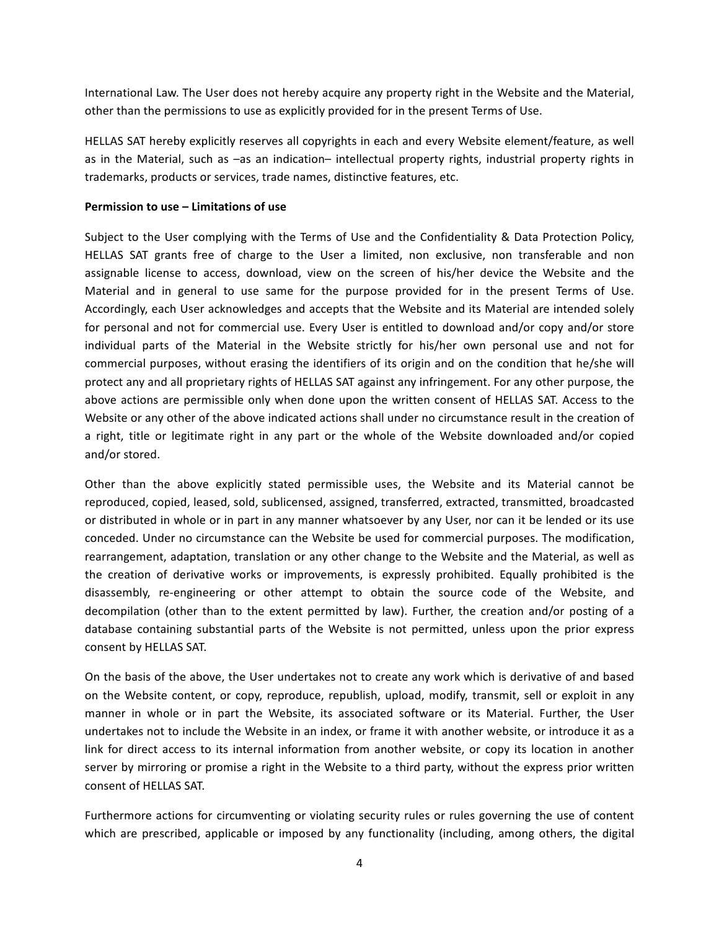International Law. The User does not hereby acquire any property right in the Website and the Material, other than the permissions to use as explicitly provided for in the present Terms of Use.

HELLAS SAT hereby explicitly reserves all copyrights in each and every Website element/feature, as well as in the Material, such as  $-$ as an indication– intellectual property rights, industrial property rights in trademarks, products or services, trade names, distinctive features, etc.

## **Permission to use – Limitations of use**

Subject to the User complying with the Terms of Use and the Confidentiality & Data Protection Policy, HELLAS SAT grants free of charge to the User a limited, non exclusive, non transferable and non assignable license to access, download, view on the screen of his/her device the Website and the Material and in general to use same for the purpose provided for in the present Terms of Use. Accordingly, each User acknowledges and accepts that the Website and its Material are intended solely for personal and not for commercial use. Every User is entitled to download and/or copy and/or store individual parts of the Material in the Website strictly for his/her own personal use and not for commercial purposes, without erasing the identifiers of its origin and on the condition that he/she will protect any and all proprietary rights of HELLAS SAT against any infringement. For any other purpose, the above actions are permissible only when done upon the written consent of HELLAS SAT. Access to the Website or any other of the above indicated actions shall under no circumstance result in the creation of a right, title or legitimate right in any part or the whole of the Website downloaded and/or copied and/or stored.

Other than the above explicitly stated permissible uses, the Website and its Material cannot be reproduced, copied, leased, sold, sublicensed, assigned, transferred, extracted, transmitted, broadcasted or distributed in whole or in part in any manner whatsoever by any User, nor can it be lended or its use conceded. Under no circumstance can the Website be used for commercial purposes. The modification, rearrangement, adaptation, translation or any other change to the Website and the Material, as well as the creation of derivative works or improvements, is expressly prohibited. Equally prohibited is the disassembly, re-engineering or other attempt to obtain the source code of the Website, and decompilation (other than to the extent permitted by law). Further, the creation and/or posting of a database containing substantial parts of the Website is not permitted, unless upon the prior express consent by HELLAS SAT.

On the basis of the above, the User undertakes not to create any work which is derivative of and based on the Website content, or copy, reproduce, republish, upload, modify, transmit, sell or exploit in any manner in whole or in part the Website, its associated software or its Material. Further, the User undertakes not to include the Website in an index, or frame it with another website, or introduce it as a link for direct access to its internal information from another website, or copy its location in another server by mirroring or promise a right in the Website to a third party, without the express prior written consent of HELLAS SAT.

Furthermore actions for circumventing or violating security rules or rules governing the use of content which are prescribed, applicable or imposed by any functionality (including, among others, the digital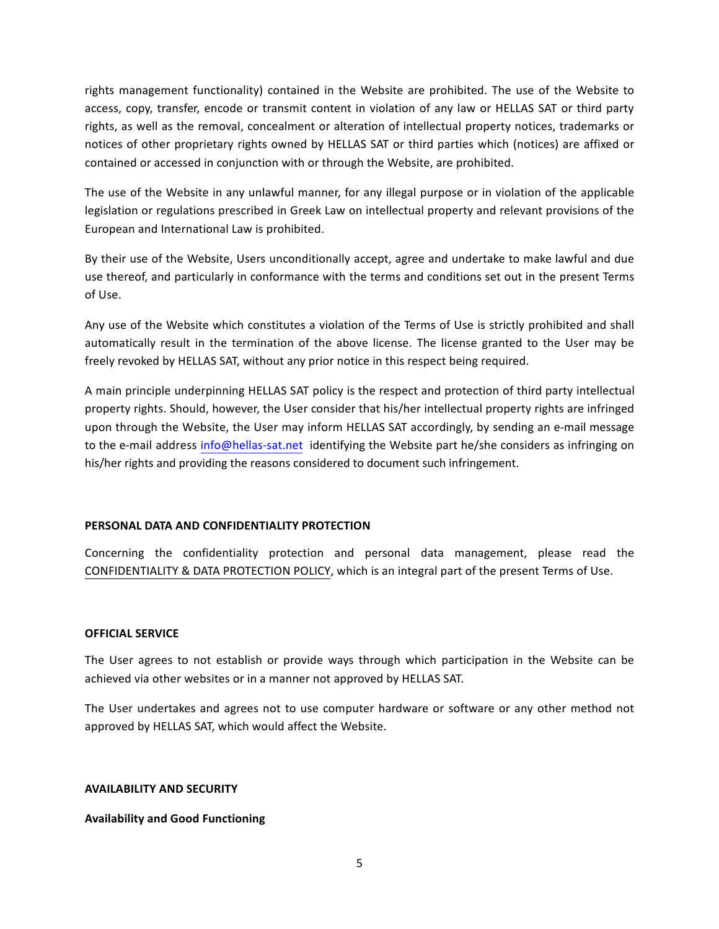rights management functionality) contained in the Website are prohibited. The use of the Website to access, copy, transfer, encode or transmit content in violation of any law or HELLAS SAT or third party rights, as well as the removal, concealment or alteration of intellectual property notices, trademarks or notices of other proprietary rights owned by HELLAS SAT or third parties which (notices) are affixed or contained or accessed in conjunction with or through the Website, are prohibited.

The use of the Website in any unlawful manner, for any illegal purpose or in violation of the applicable legislation or regulations prescribed in Greek Law on intellectual property and relevant provisions of the European and International Law is prohibited.

By their use of the Website, Users unconditionally accept, agree and undertake to make lawful and due use thereof, and particularly in conformance with the terms and conditions set out in the present Terms of Use. 

Any use of the Website which constitutes a violation of the Terms of Use is strictly prohibited and shall automatically result in the termination of the above license. The license granted to the User may be freely revoked by HELLAS SAT, without any prior notice in this respect being required.

A main principle underpinning HELLAS SAT policy is the respect and protection of third party intellectual property rights. Should, however, the User consider that his/her intellectual property rights are infringed upon through the Website, the User may inform HELLAS SAT accordingly, by sending an e-mail message to the e-mail address info@hellas-sat.net identifying the Website part he/she considers as infringing on his/her rights and providing the reasons considered to document such infringement.

## **PERSONAL DATA AND CONFIDENTIALITY PROTECTION**

Concerning the confidentiality protection and personal data management, please read the CONFIDENTIALITY & DATA PROTECTION POLICY, which is an integral part of the present Terms of Use.

## **OFFICIAL SERVICE**

The User agrees to not establish or provide ways through which participation in the Website can be achieved via other websites or in a manner not approved by HELLAS SAT.

The User undertakes and agrees not to use computer hardware or software or any other method not approved by HELLAS SAT, which would affect the Website.

## **AVAILABILITY AND SECURITY**

## **Availability and Good Functioning**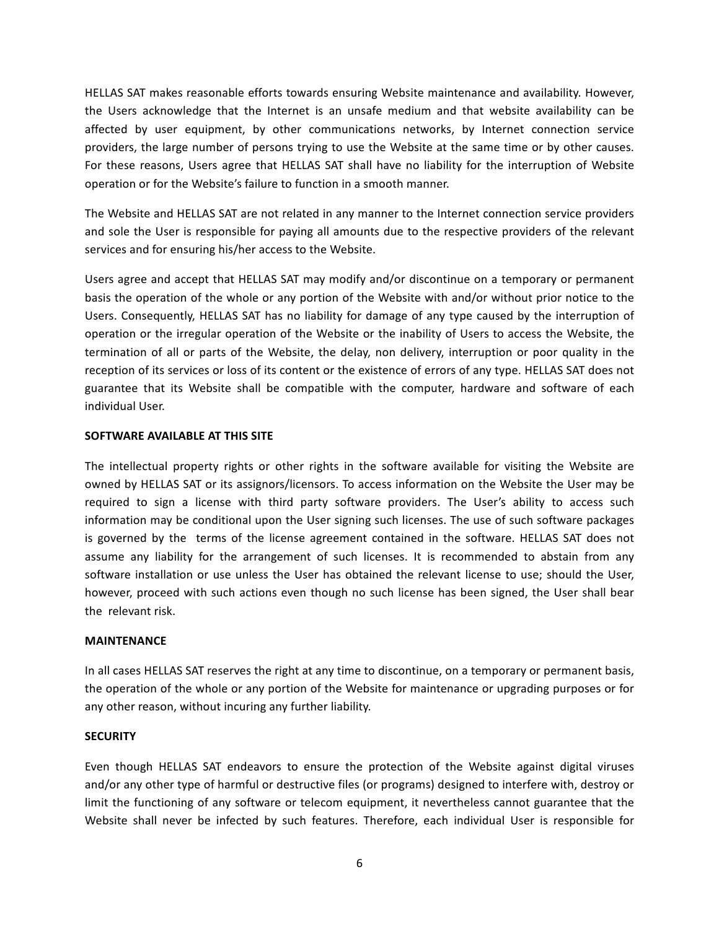HELLAS SAT makes reasonable efforts towards ensuring Website maintenance and availability. However, the Users acknowledge that the Internet is an unsafe medium and that website availability can be affected by user equipment, by other communications networks, by Internet connection service providers, the large number of persons trying to use the Website at the same time or by other causes. For these reasons, Users agree that HELLAS SAT shall have no liability for the interruption of Website operation or for the Website's failure to function in a smooth manner.

The Website and HELLAS SAT are not related in any manner to the Internet connection service providers and sole the User is responsible for paying all amounts due to the respective providers of the relevant services and for ensuring his/her access to the Website.

Users agree and accept that HELLAS SAT may modify and/or discontinue on a temporary or permanent basis the operation of the whole or any portion of the Website with and/or without prior notice to the Users. Consequently, HELLAS SAT has no liability for damage of any type caused by the interruption of operation or the irregular operation of the Website or the inability of Users to access the Website, the termination of all or parts of the Website, the delay, non delivery, interruption or poor quality in the reception of its services or loss of its content or the existence of errors of any type. HELLAS SAT does not guarantee that its Website shall be compatible with the computer, hardware and software of each individual User.

## **SOFTWARE AVAILABLE AT THIS SITE**

The intellectual property rights or other rights in the software available for visiting the Website are owned by HELLAS SAT or its assignors/licensors. To access information on the Website the User may be required to sign a license with third party software providers. The User's ability to access such information may be conditional upon the User signing such licenses. The use of such software packages is governed by the terms of the license agreement contained in the software. HELLAS SAT does not assume any liability for the arrangement of such licenses. It is recommended to abstain from any software installation or use unless the User has obtained the relevant license to use; should the User, however, proceed with such actions even though no such license has been signed, the User shall bear the relevant risk.

#### **MAINTENANCE**

In all cases HELLAS SAT reserves the right at any time to discontinue, on a temporary or permanent basis, the operation of the whole or any portion of the Website for maintenance or upgrading purposes or for any other reason, without incuring any further liability.

## **SECURITY**

Even though HELLAS SAT endeavors to ensure the protection of the Website against digital viruses and/or any other type of harmful or destructive files (or programs) designed to interfere with, destroy or limit the functioning of any software or telecom equipment, it nevertheless cannot guarantee that the Website shall never be infected by such features. Therefore, each individual User is responsible for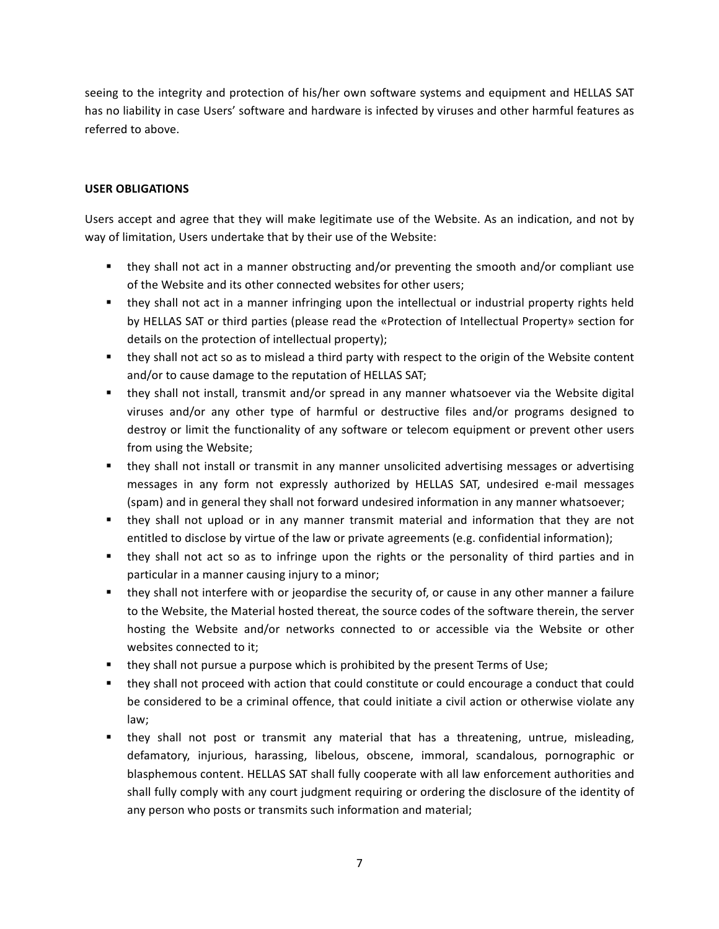seeing to the integrity and protection of his/her own software systems and equipment and HELLAS SAT has no liability in case Users' software and hardware is infected by viruses and other harmful features as referred to above.

# **USER OBLIGATIONS**

Users accept and agree that they will make legitimate use of the Website. As an indication, and not by way of limitation, Users undertake that by their use of the Website:

- they shall not act in a manner obstructing and/or preventing the smooth and/or compliant use of the Website and its other connected websites for other users;
- they shall not act in a manner infringing upon the intellectual or industrial property rights held by HELLAS SAT or third parties (please read the «Protection of Intellectual Property» section for details on the protection of intellectual property);
- they shall not act so as to mislead a third party with respect to the origin of the Website content and/or to cause damage to the reputation of HELLAS SAT;
- they shall not install, transmit and/or spread in any manner whatsoever via the Website digital viruses and/or any other type of harmful or destructive files and/or programs designed to destroy or limit the functionality of any software or telecom equipment or prevent other users from using the Website;
- they shall not install or transmit in any manner unsolicited advertising messages or advertising messages in any form not expressly authorized by HELLAS SAT, undesired e-mail messages (spam) and in general they shall not forward undesired information in any manner whatsoever;
- they shall not upload or in any manner transmit material and information that they are not entitled to disclose by virtue of the law or private agreements (e.g. confidential information);
- they shall not act so as to infringe upon the rights or the personality of third parties and in particular in a manner causing injury to a minor;
- they shall not interfere with or jeopardise the security of, or cause in any other manner a failure to the Website, the Material hosted thereat, the source codes of the software therein, the server hosting the Website and/or networks connected to or accessible via the Website or other websites connected to it:
- **E** they shall not pursue a purpose which is prohibited by the present Terms of Use;
- they shall not proceed with action that could constitute or could encourage a conduct that could be considered to be a criminal offence, that could initiate a civil action or otherwise violate any law;
- they shall not post or transmit any material that has a threatening, untrue, misleading, defamatory, injurious, harassing, libelous, obscene, immoral, scandalous, pornographic or blasphemous content. HELLAS SAT shall fully cooperate with all law enforcement authorities and shall fully comply with any court judgment requiring or ordering the disclosure of the identity of any person who posts or transmits such information and material;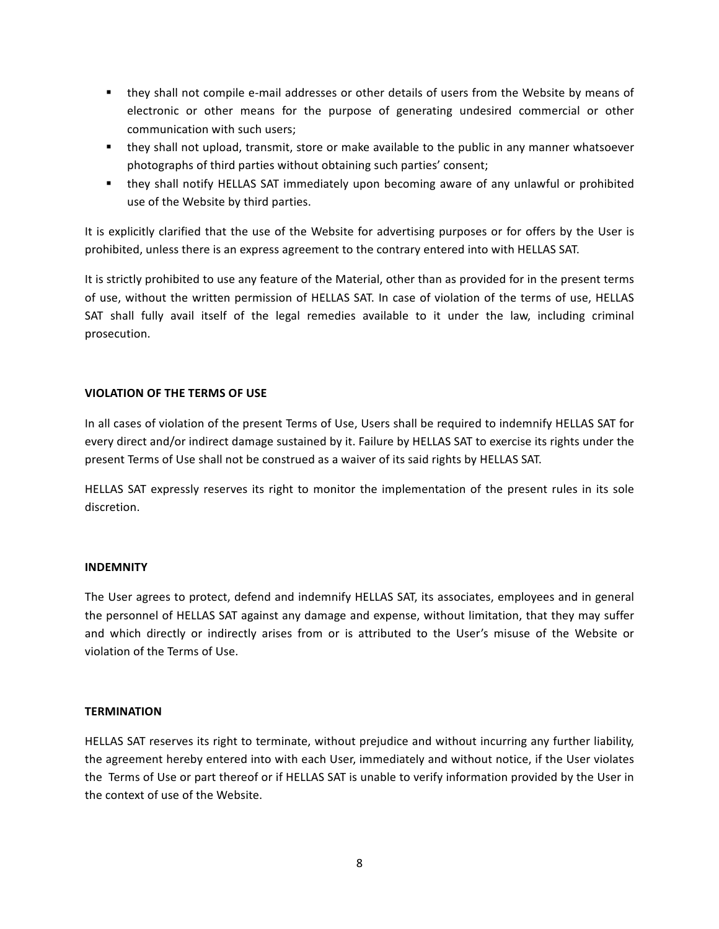- they shall not compile e-mail addresses or other details of users from the Website by means of electronic or other means for the purpose of generating undesired commercial or other communication with such users;
- they shall not upload, transmit, store or make available to the public in any manner whatsoever photographs of third parties without obtaining such parties' consent;
- they shall notify HELLAS SAT immediately upon becoming aware of any unlawful or prohibited use of the Website by third parties.

It is explicitly clarified that the use of the Website for advertising purposes or for offers by the User is prohibited, unless there is an express agreement to the contrary entered into with HELLAS SAT.

It is strictly prohibited to use any feature of the Material, other than as provided for in the present terms of use, without the written permission of HELLAS SAT. In case of violation of the terms of use, HELLAS SAT shall fully avail itself of the legal remedies available to it under the law, including criminal prosecution.

# **VIOLATION OF THE TERMS OF USE**

In all cases of violation of the present Terms of Use, Users shall be required to indemnify HELLAS SAT for every direct and/or indirect damage sustained by it. Failure by HELLAS SAT to exercise its rights under the present Terms of Use shall not be construed as a waiver of its said rights by HELLAS SAT.

HELLAS SAT expressly reserves its right to monitor the implementation of the present rules in its sole discretion.

## **INDEMNITY**

The User agrees to protect, defend and indemnify HELLAS SAT, its associates, employees and in general the personnel of HELLAS SAT against any damage and expense, without limitation, that they may suffer and which directly or indirectly arises from or is attributed to the User's misuse of the Website or violation of the Terms of Use.

## **TERMINATION**

HELLAS SAT reserves its right to terminate, without prejudice and without incurring any further liability, the agreement hereby entered into with each User, immediately and without notice, if the User violates the Terms of Use or part thereof or if HELLAS SAT is unable to verify information provided by the User in the context of use of the Website.